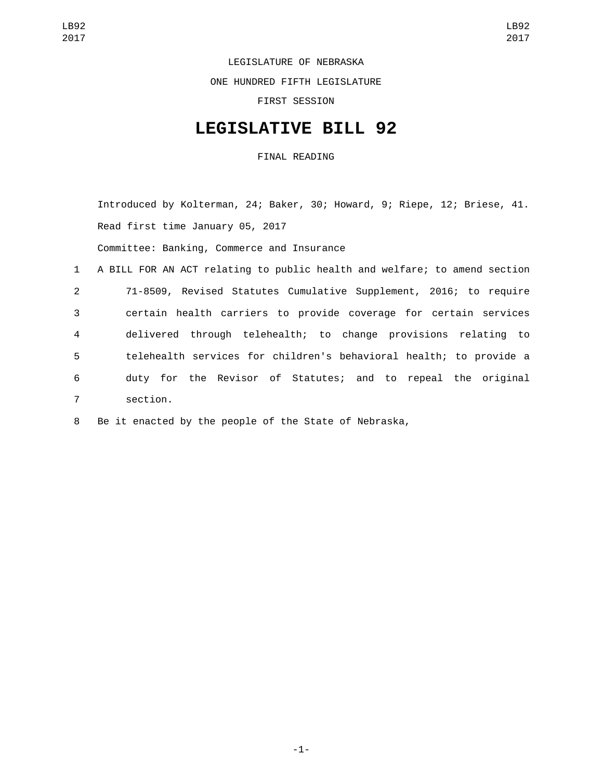LEGISLATURE OF NEBRASKA

ONE HUNDRED FIFTH LEGISLATURE

FIRST SESSION

## **LEGISLATIVE BILL 92**

FINAL READING

Introduced by Kolterman, 24; Baker, 30; Howard, 9; Riepe, 12; Briese, 41. Read first time January 05, 2017 Committee: Banking, Commerce and Insurance

 A BILL FOR AN ACT relating to public health and welfare; to amend section 71-8509, Revised Statutes Cumulative Supplement, 2016; to require certain health carriers to provide coverage for certain services delivered through telehealth; to change provisions relating to telehealth services for children's behavioral health; to provide a duty for the Revisor of Statutes; and to repeal the original section.7

8 Be it enacted by the people of the State of Nebraska,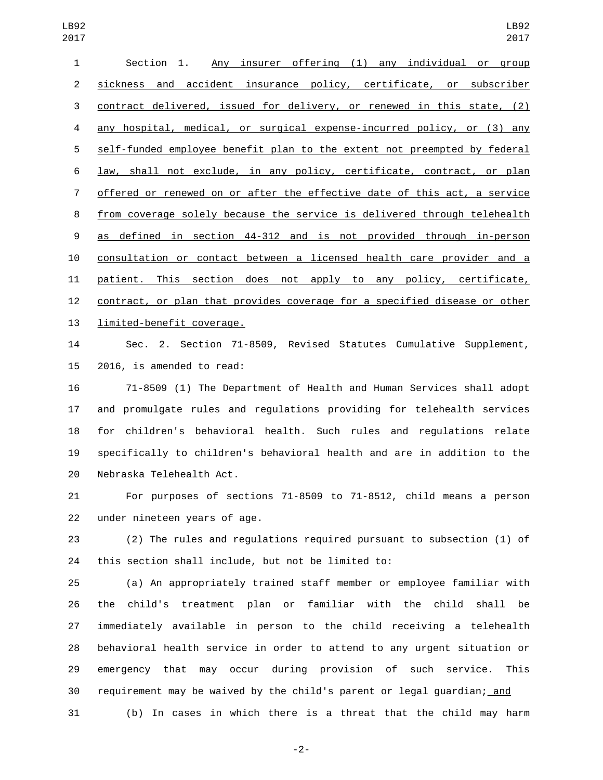| 1              | Any insurer offering (1) any individual or group<br>Section 1.               |
|----------------|------------------------------------------------------------------------------|
| 2              | accident insurance policy, certificate, or subscriber<br>sickness and        |
| 3              | contract delivered, issued for delivery, or renewed in this state, (2)       |
| 4              | any hospital, medical, or surgical expense-incurred policy, or (3) any       |
| 5              | self-funded employee benefit plan to the extent not preempted by federal     |
| 6              | <u>law, shall not exclude, in any policy, certificate, contract, or plan</u> |
| $\overline{7}$ | offered or renewed on or after the effective date of this act, a service     |
| 8              | from coverage solely because the service is delivered through telehealth     |
| 9              | as defined in section 44-312 and is not provided through in-person           |
| 10             | consultation or contact between a licensed health care provider and a        |
| 11             | patient. This section does not apply to any policy, certificate,             |
| 12             | contract, or plan that provides coverage for a specified disease or other    |
| 13             | limited-benefit coverage.                                                    |

 Sec. 2. Section 71-8509, Revised Statutes Cumulative Supplement, 15 2016, is amended to read:

 71-8509 (1) The Department of Health and Human Services shall adopt and promulgate rules and regulations providing for telehealth services for children's behavioral health. Such rules and regulations relate specifically to children's behavioral health and are in addition to the 20 Nebraska Telehealth Act.

 For purposes of sections 71-8509 to 71-8512, child means a person 22 under nineteen years of age.

 (2) The rules and regulations required pursuant to subsection (1) of this section shall include, but not be limited to:

 (a) An appropriately trained staff member or employee familiar with the child's treatment plan or familiar with the child shall be immediately available in person to the child receiving a telehealth behavioral health service in order to attend to any urgent situation or emergency that may occur during provision of such service. This 30 requirement may be waived by the child's parent or legal guardian; and (b) In cases in which there is a threat that the child may harm

-2-